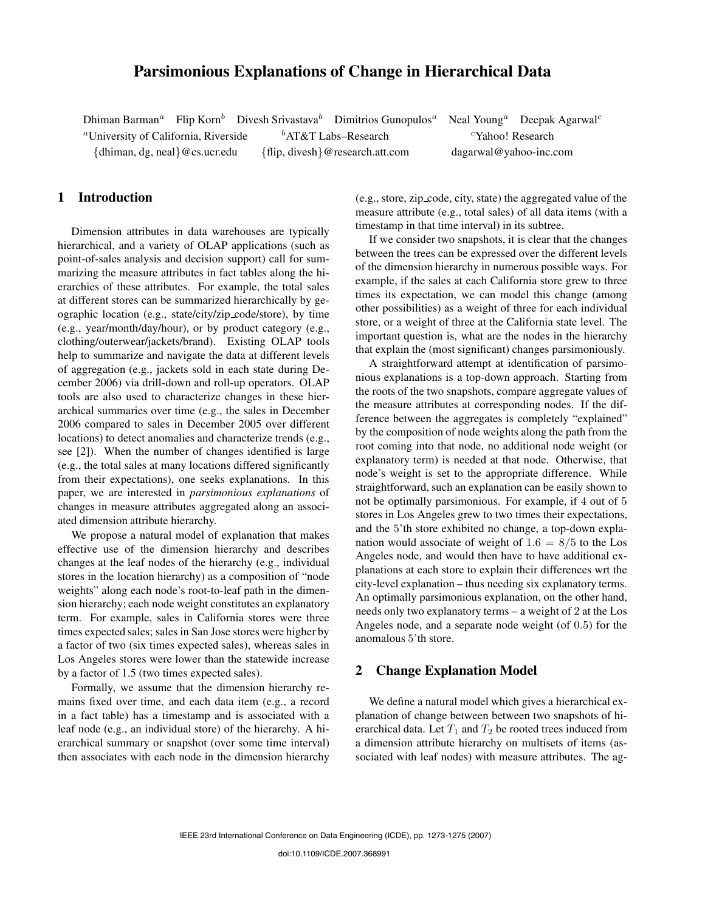# **Parsimonious Explanations of Change in Hierarchical Data**

Dhiman Barman<sup>a</sup> Flip Korn<sup>b</sup> Divesh Srivastava<sup>b</sup> Dimitrios Gunopulos<sup>a</sup> Neal Young<sup>a</sup> Deepak Agarwal<sup>c</sup>

<sup>a</sup>University of California, Riverside  $b$ AT&T Labs–Research cYahoo! Research

{dhiman, dg, neal}@cs.ucr.edu {flip, divesh}@research.att.com dagarwal@yahoo-inc.com

# **1 Introduction**

Dimension attributes in data warehouses are typically hierarchical, and a variety of OLAP applications (such as point-of-sales analysis and decision support) call for summarizing the measure attributes in fact tables along the hierarchies of these attributes. For example, the total sales at different stores can be summarized hierarchically by geographic location (e.g., state/city/zip code/store), by time (e.g., year/month/day/hour), or by product category (e.g., clothing/outerwear/jackets/brand). Existing OLAP tools help to summarize and navigate the data at different levels of aggregation (e.g., jackets sold in each state during December 2006) via drill-down and roll-up operators. OLAP tools are also used to characterize changes in these hierarchical summaries over time (e.g., the sales in December 2006 compared to sales in December 2005 over different locations) to detect anomalies and characterize trends (e.g., see [2]). When the number of changes identified is large (e.g., the total sales at many locations differed significantly from their expectations), one seeks explanations. In this paper, we are interested in *parsimonious explanations* of changes in measure attributes aggregated along an associated dimension attribute hierarchy.

We propose a natural model of explanation that makes effective use of the dimension hierarchy and describes changes at the leaf nodes of the hierarchy (e.g., individual stores in the location hierarchy) as a composition of "node weights" along each node's root-to-leaf path in the dimension hierarchy; each node weight constitutes an explanatory term. For example, sales in California stores were three times expected sales; sales in San Jose stores were higher by a factor of two (six times expected sales), whereas sales in Los Angeles stores were lower than the statewide increase by a factor of 1.5 (two times expected sales).

Formally, we assume that the dimension hierarchy remains fixed over time, and each data item (e.g., a record in a fact table) has a timestamp and is associated with a leaf node (e.g., an individual store) of the hierarchy. A hierarchical summary or snapshot (over some time interval) then associates with each node in the dimension hierarchy (e.g., store, zip code, city, state) the aggregated value of the measure attribute (e.g., total sales) of all data items (with a timestamp in that time interval) in its subtree.

If we consider two snapshots, it is clear that the changes between the trees can be expressed over the different levels of the dimension hierarchy in numerous possible ways. For example, if the sales at each California store grew to three times its expectation, we can model this change (among other possibilities) as a weight of three for each individual store, or a weight of three at the California state level. The important question is, what are the nodes in the hierarchy that explain the (most significant) changes parsimoniously.

A straightforward attempt at identification of parsimonious explanations is a top-down approach. Starting from the roots of the two snapshots, compare aggregate values of the measure attributes at corresponding nodes. If the difference between the aggregates is completely "explained" by the composition of node weights along the path from the root coming into that node, no additional node weight (or explanatory term) is needed at that node. Otherwise, that node's weight is set to the appropriate difference. While straightforward, such an explanation can be easily shown to not be optimally parsimonious. For example, if 4 out of 5 stores in Los Angeles grew to two times their expectations, and the 5'th store exhibited no change, a top-down explanation would associate of weight of  $1.6 = 8/5$  to the Los Angeles node, and would then have to have additional explanations at each store to explain their differences wrt the city-level explanation – thus needing six explanatory terms. An optimally parsimonious explanation, on the other hand, needs only two explanatory terms – a weight of 2 at the Los Angeles node, and a separate node weight (of 0.5) for the anomalous 5'th store.

## **2 Change Explanation Model**

We define a natural model which gives a hierarchical explanation of change between between two snapshots of hierarchical data. Let  $T_1$  and  $T_2$  be rooted trees induced from a dimension attribute hierarchy on multisets of items (associated with leaf nodes) with measure attributes. The ag-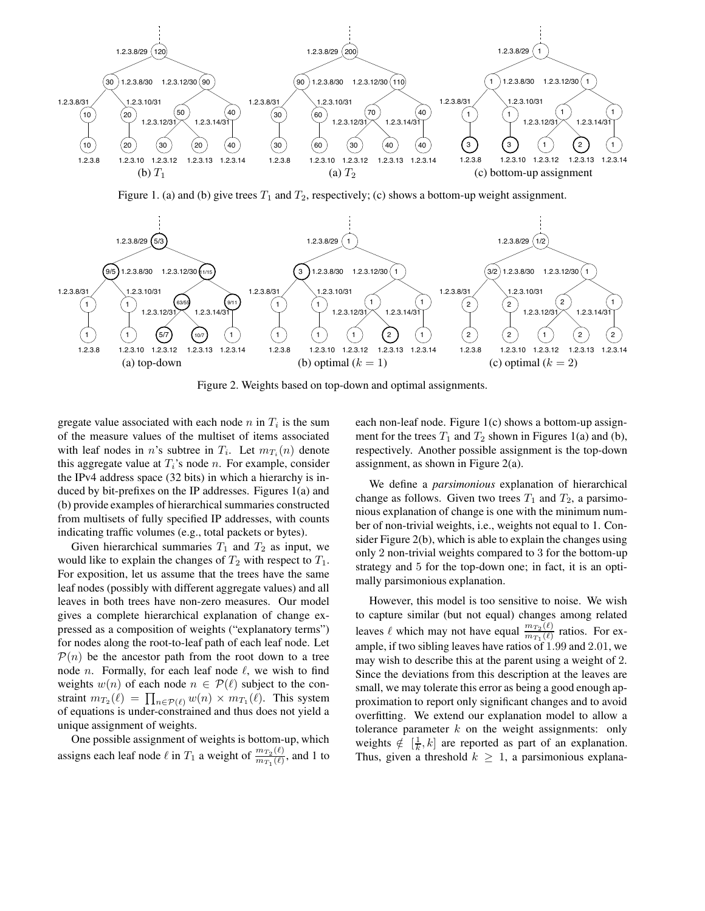

Figure 1. (a) and (b) give trees  $T_1$  and  $T_2$ , respectively; (c) shows a bottom-up weight assignment.



Figure 2. Weights based on top-down and optimal assignments.

gregate value associated with each node  $n$  in  $T_i$  is the sum of the measure values of the multiset of items associated with leaf nodes in n's subtree in  $T_i$ . Let  $m_{T_i}(n)$  denote this aggregate value at  $T_i$ 's node n. For example, consider the IPv4 address space (32 bits) in which a hierarchy is induced by bit-prefixes on the IP addresses. Figures 1(a) and (b) provide examples of hierarchical summaries constructed from multisets of fully specified IP addresses, with counts indicating traffic volumes (e.g., total packets or bytes).

Given hierarchical summaries  $T_1$  and  $T_2$  as input, we would like to explain the changes of  $T_2$  with respect to  $T_1$ . For exposition, let us assume that the trees have the same leaf nodes (possibly with different aggregate values) and all leaves in both trees have non-zero measures. Our model gives a complete hierarchical explanation of change expressed as a composition of weights ("explanatory terms") for nodes along the root-to-leaf path of each leaf node. Let  $P(n)$  be the ancestor path from the root down to a tree node *n*. Formally, for each leaf node  $\ell$ , we wish to find weights  $w(n)$  of each node  $n \in \mathcal{P}(\ell)$  subject to the constraint  $m_{T_2}(\ell) = \prod_{n \in \mathcal{P}(\ell)} w(n) \times m_{T_1}(\ell)$ . This system of equations is under-constrained and thus does not yield a unique assignment of weights.

One possible assignment of weights is bottom-up, which assigns each leaf node  $\ell$  in  $T_1$  a weight of  $\frac{m_{T_2}(\ell)}{m_{T_1}(\ell)}$ , and 1 to

each non-leaf node. Figure 1(c) shows a bottom-up assignment for the trees  $T_1$  and  $T_2$  shown in Figures 1(a) and (b), respectively. Another possible assignment is the top-down assignment, as shown in Figure 2(a).

We define a *parsimonious* explanation of hierarchical change as follows. Given two trees  $T_1$  and  $T_2$ , a parsimonious explanation of change is one with the minimum number of non-trivial weights, i.e., weights not equal to 1. Consider Figure 2(b), which is able to explain the changes using only 2 non-trivial weights compared to 3 for the bottom-up strategy and 5 for the top-down one; in fact, it is an optimally parsimonious explanation.

However, this model is too sensitive to noise. We wish to capture similar (but not equal) changes among related leaves  $\ell$  which may not have equal  $\frac{m_{T_2}(\ell)}{m_{T_1}(\ell)}$  ratios. For example, if two sibling leaves have ratios of 1.99 and 2.01, we may wish to describe this at the parent using a weight of 2. Since the deviations from this description at the leaves are small, we may tolerate this error as being a good enough approximation to report only significant changes and to avoid overfitting. We extend our explanation model to allow a tolerance parameter  $k$  on the weight assignments: only weights  $\notin \left[\frac{1}{k}, k\right]$  are reported as part of an explanation. Thus, given a threshold  $k \geq 1$ , a parsimonious explana-